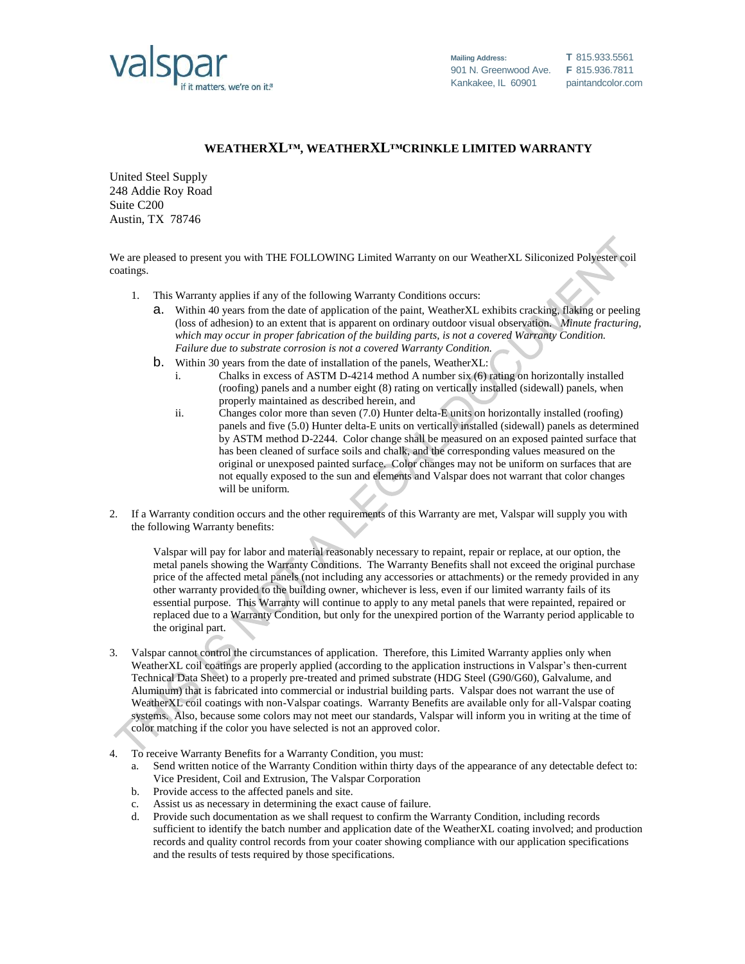

## **WEATHERXL™, WEATHERXL™CRINKLE LIMITED WARRANTY**

United Steel Supply 248 Addie Roy Road Suite C200 Austin, TX 78746

We are pleased to present you with THE FOLLOWING Limited Warranty on our WeatherXL Siliconized Polyester coil coatings.

- 1. This Warranty applies if any of the following Warranty Conditions occurs:
	- a. Within 40 years from the date of application of the paint, WeatherXL exhibits cracking, flaking or peeling (loss of adhesion) to an extent that is apparent on ordinary outdoor visual observation. *Minute fracturing, which may occur in proper fabrication of the building parts, is not a covered Warranty Condition. Failure due to substrate corrosion is not a covered Warranty Condition.*
	- b. Within 30 years from the date of installation of the panels, WeatherXL:
		- i. Chalks in excess of ASTM D-4214 method A number six (6) rating on horizontally installed (roofing) panels and a number eight (8) rating on vertically installed (sidewall) panels, when properly maintained as described herein, and
		- ii. Changes color more than seven (7.0) Hunter delta-E units on horizontally installed (roofing) panels and five (5.0) Hunter delta-E units on vertically installed (sidewall) panels as determined by ASTM method D-2244. Color change shall be measured on an exposed painted surface that has been cleaned of surface soils and chalk, and the corresponding values measured on the original or unexposed painted surface. Color changes may not be uniform on surfaces that are not equally exposed to the sun and elements and Valspar does not warrant that color changes will be uniform.
- 2. If a Warranty condition occurs and the other requirements of this Warranty are met, Valspar will supply you with the following Warranty benefits:

Valspar will pay for labor and material reasonably necessary to repaint, repair or replace, at our option, the metal panels showing the Warranty Conditions. The Warranty Benefits shall not exceed the original purchase price of the affected metal panels (not including any accessories or attachments) or the remedy provided in any other warranty provided to the building owner, whichever is less, even if our limited warranty fails of its essential purpose. This Warranty will continue to apply to any metal panels that were repainted, repaired or replaced due to a Warranty Condition, but only for the unexpired portion of the Warranty period applicable to the original part.

- 3. Valspar cannot control the circumstances of application. Therefore, this Limited Warranty applies only when WeatherXL coil coatings are properly applied (according to the application instructions in Valspar's then-current Technical Data Sheet) to a properly pre-treated and primed substrate (HDG Steel (G90/G60), Galvalume, and Aluminum) that is fabricated into commercial or industrial building parts. Valspar does not warrant the use of WeatherXL coil coatings with non-Valspar coatings. Warranty Benefits are available only for all-Valspar coating systems. Also, because some colors may not meet our standards, Valspar will inform you in writing at the time of color matching if the color you have selected is not an approved color.
- 4. To receive Warranty Benefits for a Warranty Condition, you must:
	- a. Send written notice of the Warranty Condition within thirty days of the appearance of any detectable defect to: Vice President, Coil and Extrusion, The Valspar Corporation
	- b. Provide access to the affected panels and site.
	- c. Assist us as necessary in determining the exact cause of failure.
	- d. Provide such documentation as we shall request to confirm the Warranty Condition, including records sufficient to identify the batch number and application date of the WeatherXL coating involved; and production records and quality control records from your coater showing compliance with our application specifications and the results of tests required by those specifications.